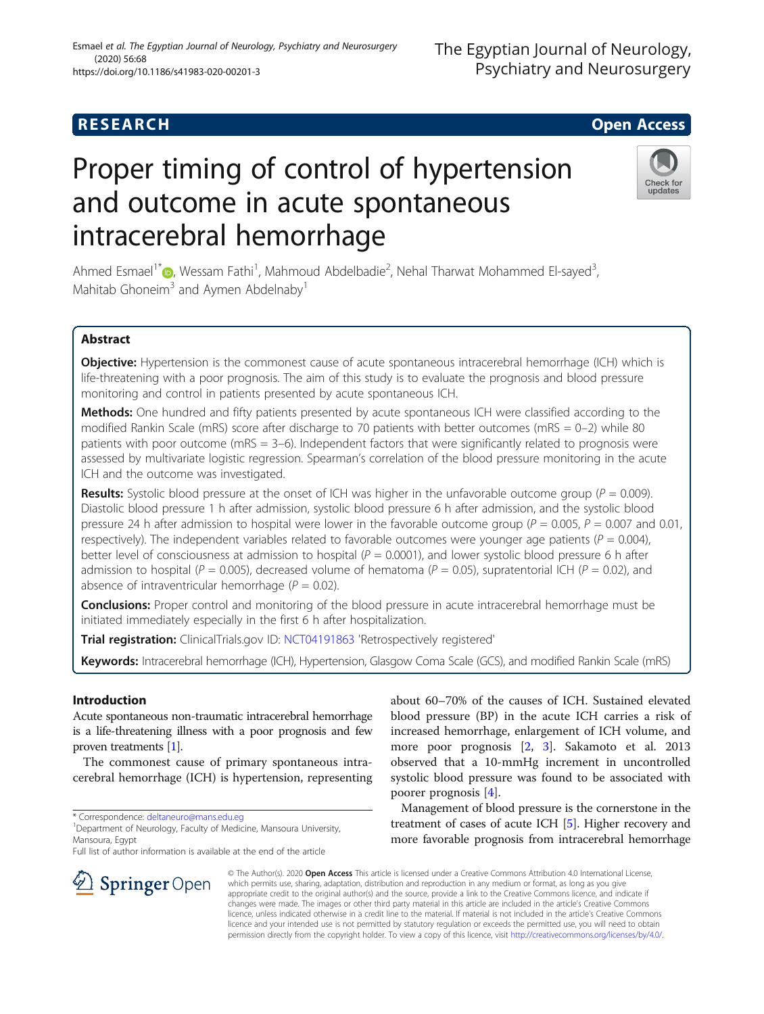## (2020) 56:68 https://doi.org/10.1186/s41983-020-00201-3

Esmael et al. The Egyptian Journal of Neurology, Psychiatry and Neurosurgery

# Proper timing of control of hypertension and outcome in acute spontaneous intracerebral hemorrhage

Ahmed Esmael<sup>1[\\*](https://orcid.org/0000-0003-2879-7392)</sup> D, Wessam Fathi<sup>1</sup>, Mahmoud Abdelbadie<sup>2</sup>, Nehal Tharwat Mohammed El-sayed<sup>3</sup> , Mahitab Ghoneim<sup>3</sup> and Aymen Abdelnaby<sup>1</sup>

### Abstract

Objective: Hypertension is the commonest cause of acute spontaneous intracerebral hemorrhage (ICH) which is life-threatening with a poor prognosis. The aim of this study is to evaluate the prognosis and blood pressure monitoring and control in patients presented by acute spontaneous ICH.

Methods: One hundred and fifty patients presented by acute spontaneous ICH were classified according to the modified Rankin Scale (mRS) score after discharge to 70 patients with better outcomes (mRS =  $0-2$ ) while 80 patients with poor outcome (mRS = 3–6). Independent factors that were significantly related to prognosis were assessed by multivariate logistic regression. Spearman's correlation of the blood pressure monitoring in the acute ICH and the outcome was investigated.

**Results:** Systolic blood pressure at the onset of ICH was higher in the unfavorable outcome group ( $P = 0.009$ ). Diastolic blood pressure 1 h after admission, systolic blood pressure 6 h after admission, and the systolic blood pressure 24 h after admission to hospital were lower in the favorable outcome group ( $P = 0.005$ ,  $P = 0.007$  and 0.01, respectively). The independent variables related to favorable outcomes were younger age patients ( $P = 0.004$ ), better level of consciousness at admission to hospital ( $P = 0.0001$ ), and lower systolic blood pressure 6 h after admission to hospital ( $P = 0.005$ ), decreased volume of hematoma ( $P = 0.05$ ), supratentorial ICH ( $P = 0.02$ ), and absence of intraventricular hemorrhage ( $P = 0.02$ ).

**Conclusions:** Proper control and monitoring of the blood pressure in acute intracerebral hemorrhage must be initiated immediately especially in the first 6 h after hospitalization.

Trial registration: ClinicalTrials.gov ID: [NCT04191863](https://clinicaltrials.gov/ct2/show/NCT04167644) 'Retrospectively registered'

Keywords: Intracerebral hemorrhage (ICH), Hypertension, Glasgow Coma Scale (GCS), and modified Rankin Scale (mRS)

#### Introduction

Acute spontaneous non-traumatic intracerebral hemorrhage is a life-threatening illness with a poor prognosis and few proven treatments [\[1\]](#page-7-0).

The commonest cause of primary spontaneous intracerebral hemorrhage (ICH) is hypertension, representing

\* Correspondence: [deltaneuro@mans.edu.eg](mailto:deltaneuro@mans.edu.eg) <sup>1</sup>

 $\Omega$  Springer Open

<sup>1</sup> Department of Neurology, Faculty of Medicine, Mansoura University, Mansoura, Egypt

Full list of author information is available at the end of the article

about 60–70% of the causes of ICH. Sustained elevated blood pressure (BP) in the acute ICH carries a risk of increased hemorrhage, enlargement of ICH volume, and more poor prognosis [\[2](#page-7-0), [3](#page-7-0)]. Sakamoto et al. 2013 observed that a 10-mmHg increment in uncontrolled systolic blood pressure was found to be associated with poorer prognosis [\[4](#page-7-0)].

Management of blood pressure is the cornerstone in the treatment of cases of acute ICH [\[5\]](#page-7-0). Higher recovery and more favorable prognosis from intracerebral hemorrhage

© The Author(s). 2020 Open Access This article is licensed under a Creative Commons Attribution 4.0 International License, which permits use, sharing, adaptation, distribution and reproduction in any medium or format, as long as you give appropriate credit to the original author(s) and the source, provide a link to the Creative Commons licence, and indicate if changes were made. The images or other third party material in this article are included in the article's Creative Commons licence, unless indicated otherwise in a credit line to the material. If material is not included in the article's Creative Commons licence and your intended use is not permitted by statutory regulation or exceeds the permitted use, you will need to obtain permission directly from the copyright holder. To view a copy of this licence, visit <http://creativecommons.org/licenses/by/4.0/>.



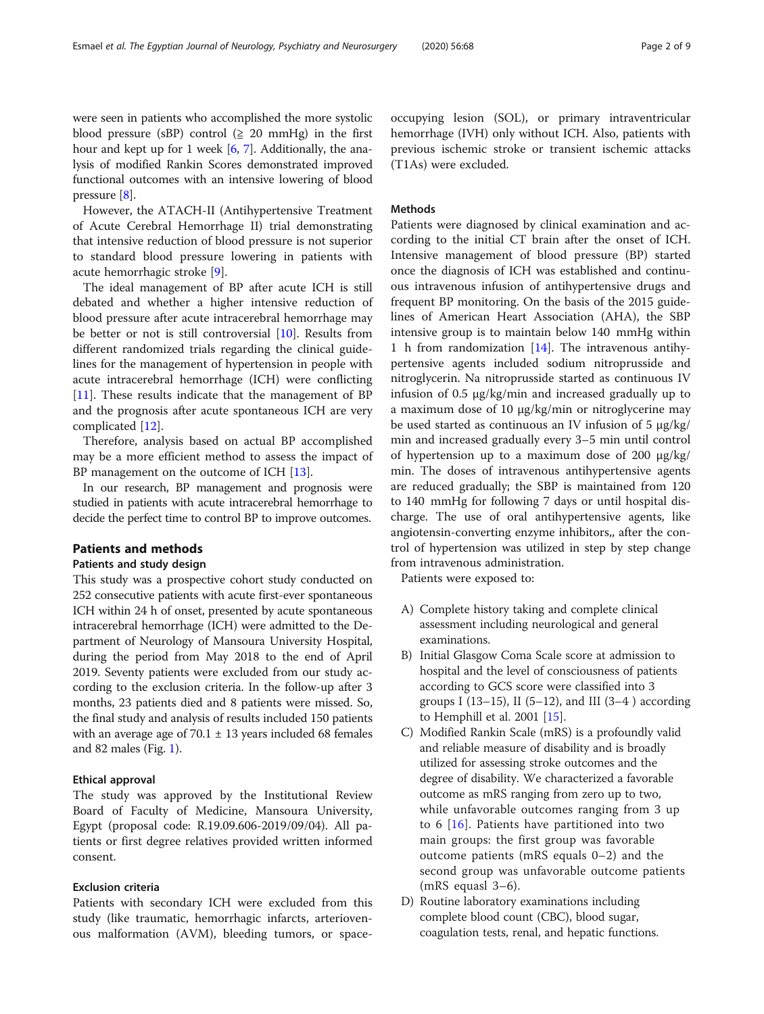were seen in patients who accomplished the more systolic blood pressure (sBP) control ( $\geq$  20 mmHg) in the first hour and kept up for 1 week [[6,](#page-7-0) [7\]](#page-7-0). Additionally, the analysis of modified Rankin Scores demonstrated improved functional outcomes with an intensive lowering of blood pressure [\[8\]](#page-7-0).

However, the ATACH-II (Antihypertensive Treatment of Acute Cerebral Hemorrhage II) trial demonstrating that intensive reduction of blood pressure is not superior to standard blood pressure lowering in patients with acute hemorrhagic stroke [\[9](#page-7-0)].

The ideal management of BP after acute ICH is still debated and whether a higher intensive reduction of blood pressure after acute intracerebral hemorrhage may be better or not is still controversial [\[10](#page-7-0)]. Results from different randomized trials regarding the clinical guidelines for the management of hypertension in people with acute intracerebral hemorrhage (ICH) were conflicting [[11\]](#page-7-0). These results indicate that the management of BP and the prognosis after acute spontaneous ICH are very complicated [\[12](#page-7-0)].

Therefore, analysis based on actual BP accomplished may be a more efficient method to assess the impact of BP management on the outcome of ICH [\[13\]](#page-7-0).

In our research, BP management and prognosis were studied in patients with acute intracerebral hemorrhage to decide the perfect time to control BP to improve outcomes.

#### Patients and methods

#### Patients and study design

This study was a prospective cohort study conducted on 252 consecutive patients with acute first-ever spontaneous ICH within 24 h of onset, presented by acute spontaneous intracerebral hemorrhage (ICH) were admitted to the Department of Neurology of Mansoura University Hospital, during the period from May 2018 to the end of April 2019. Seventy patients were excluded from our study according to the exclusion criteria. In the follow-up after 3 months, 23 patients died and 8 patients were missed. So, the final study and analysis of results included 150 patients with an average age of  $70.1 \pm 13$  years included 68 females and 82 males (Fig. [1\)](#page-2-0).

#### Ethical approval

The study was approved by the Institutional Review Board of Faculty of Medicine, Mansoura University, Egypt (proposal code: R.19.09.606-2019/09/04). All patients or first degree relatives provided written informed consent.

#### Exclusion criteria

Patients with secondary ICH were excluded from this study (like traumatic, hemorrhagic infarcts, arteriovenous malformation (AVM), bleeding tumors, or spaceoccupying lesion (SOL), or primary intraventricular hemorrhage (IVH) only without ICH. Also, patients with previous ischemic stroke or transient ischemic attacks (T1As) were excluded.

#### Methods

Patients were diagnosed by clinical examination and according to the initial CT brain after the onset of ICH. Intensive management of blood pressure (BP) started once the diagnosis of ICH was established and continuous intravenous infusion of antihypertensive drugs and frequent BP monitoring. On the basis of the 2015 guidelines of American Heart Association (AHA), the SBP intensive group is to maintain below 140 mmHg within 1 h from randomization [[14\]](#page-7-0). The intravenous antihypertensive agents included sodium nitroprusside and nitroglycerin. Na nitroprusside started as continuous IV infusion of 0.5 μg/kg/min and increased gradually up to a maximum dose of 10 μg/kg/min or nitroglycerine may be used started as continuous an IV infusion of 5 μg/kg/ min and increased gradually every 3–5 min until control of hypertension up to a maximum dose of 200 μg/kg/ min. The doses of intravenous antihypertensive agents are reduced gradually; the SBP is maintained from 120 to 140 mmHg for following 7 days or until hospital discharge. The use of oral antihypertensive agents, like angiotensin-converting enzyme inhibitors,, after the control of hypertension was utilized in step by step change from intravenous administration.

Patients were exposed to:

- A) Complete history taking and complete clinical assessment including neurological and general examinations.
- B) Initial Glasgow Coma Scale score at admission to hospital and the level of consciousness of patients according to GCS score were classified into 3 groups I (13–15), II (5–12), and III (3–4) according to Hemphill et al. 2001 [[15](#page-7-0)].
- C) Modified Rankin Scale (mRS) is a profoundly valid and reliable measure of disability and is broadly utilized for assessing stroke outcomes and the degree of disability. We characterized a favorable outcome as mRS ranging from zero up to two, while unfavorable outcomes ranging from 3 up to 6 [[16](#page-7-0)]. Patients have partitioned into two main groups: the first group was favorable outcome patients (mRS equals 0–2) and the second group was unfavorable outcome patients (mRS equasl 3–6).
- D) Routine laboratory examinations including complete blood count (CBC), blood sugar, coagulation tests, renal, and hepatic functions.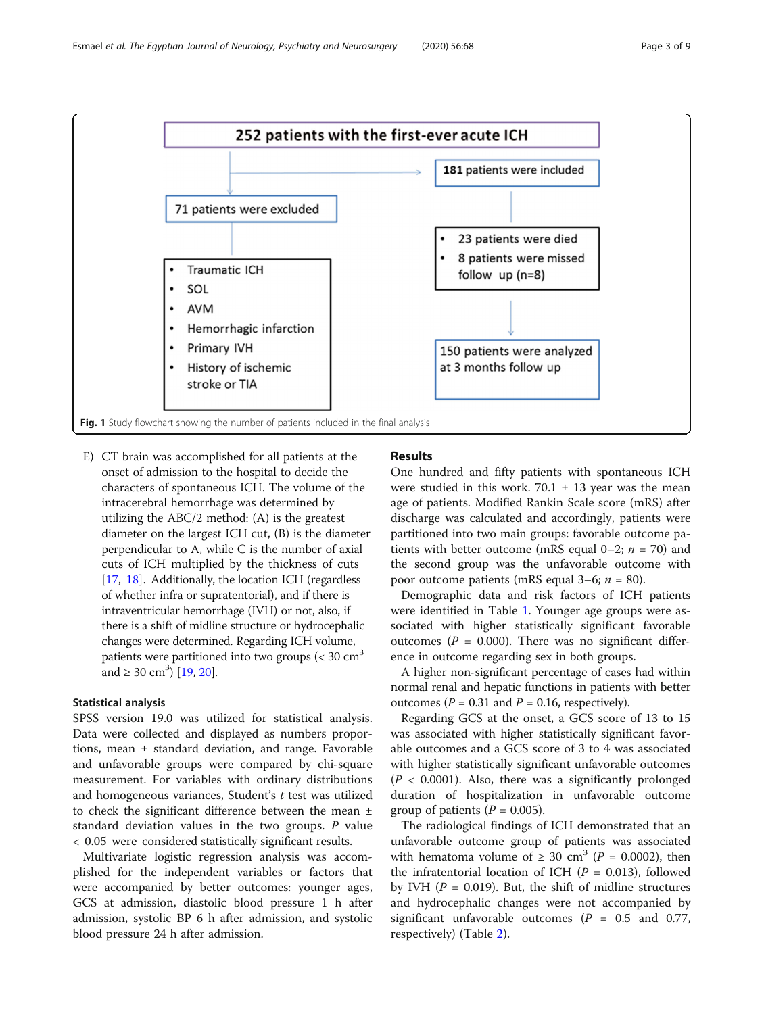<span id="page-2-0"></span>

E) CT brain was accomplished for all patients at the onset of admission to the hospital to decide the characters of spontaneous ICH. The volume of the intracerebral hemorrhage was determined by utilizing the ABC/2 method: (A) is the greatest diameter on the largest ICH cut, (B) is the diameter perpendicular to A, while C is the number of axial cuts of ICH multiplied by the thickness of cuts [[17](#page-7-0), [18](#page-7-0)]. Additionally, the location ICH (regardless of whether infra or supratentorial), and if there is intraventricular hemorrhage (IVH) or not, also, if there is a shift of midline structure or hydrocephalic changes were determined. Regarding ICH volume, patients were partitioned into two groups ( $<$  30 cm<sup>3</sup> and  $\geq 30 \text{ cm}^3$ ) [\[19,](#page-7-0) [20\]](#page-7-0).

#### Statistical analysis

SPSS version 19.0 was utilized for statistical analysis. Data were collected and displayed as numbers proportions, mean ± standard deviation, and range. Favorable and unfavorable groups were compared by chi-square measurement. For variables with ordinary distributions and homogeneous variances, Student's  $t$  test was utilized to check the significant difference between the mean ± standard deviation values in the two groups.  $P$  value < 0.05 were considered statistically significant results.

Multivariate logistic regression analysis was accomplished for the independent variables or factors that were accompanied by better outcomes: younger ages, GCS at admission, diastolic blood pressure 1 h after admission, systolic BP 6 h after admission, and systolic blood pressure 24 h after admission.

#### Results

One hundred and fifty patients with spontaneous ICH were studied in this work. 70.1  $\pm$  13 year was the mean age of patients. Modified Rankin Scale score (mRS) after discharge was calculated and accordingly, patients were partitioned into two main groups: favorable outcome patients with better outcome (mRS equal 0–2;  $n = 70$ ) and the second group was the unfavorable outcome with poor outcome patients (mRS equal 3–6;  $n = 80$ ).

Demographic data and risk factors of ICH patients were identified in Table [1](#page-3-0). Younger age groups were associated with higher statistically significant favorable outcomes ( $P = 0.000$ ). There was no significant difference in outcome regarding sex in both groups.

A higher non-significant percentage of cases had within normal renal and hepatic functions in patients with better outcomes ( $P = 0.31$  and  $P = 0.16$ , respectively).

Regarding GCS at the onset, a GCS score of 13 to 15 was associated with higher statistically significant favorable outcomes and a GCS score of 3 to 4 was associated with higher statistically significant unfavorable outcomes  $(P < 0.0001)$ . Also, there was a significantly prolonged duration of hospitalization in unfavorable outcome group of patients ( $P = 0.005$ ).

The radiological findings of ICH demonstrated that an unfavorable outcome group of patients was associated with hematoma volume of  $\geq 30$  cm<sup>3</sup> (P = 0.0002), then the infratentorial location of ICH ( $P = 0.013$ ), followed by IVH ( $P = 0.019$ ). But, the shift of midline structures and hydrocephalic changes were not accompanied by significant unfavorable outcomes ( $P = 0.5$  and 0.77, respectively) (Table [2](#page-3-0)).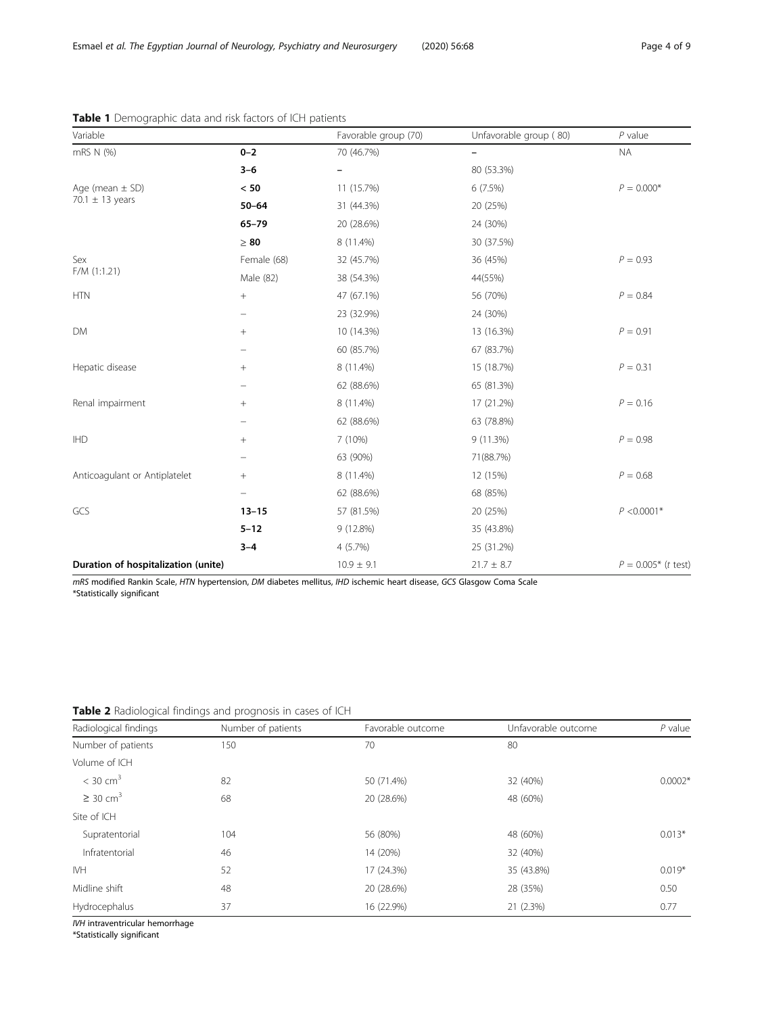| Variable                                   |                 | Favorable group (70) | Unfavorable group (80) | $P$ value                     |
|--------------------------------------------|-----------------|----------------------|------------------------|-------------------------------|
| mRS N (%)                                  | $0 - 2$         | 70 (46.7%)           | $\qquad \qquad -$      | <b>NA</b>                     |
|                                            | $3 - 6$         | -                    | 80 (53.3%)             |                               |
| Age (mean $\pm$ SD)<br>70.1 $\pm$ 13 years | < 50            | 11 (15.7%)           | 6 (7.5%)               | $P = 0.000*$                  |
|                                            | $50 - 64$       | 31 (44.3%)           | 20 (25%)               |                               |
|                                            | $65 - 79$       | 20 (28.6%)           | 24 (30%)               |                               |
|                                            | $\geq 80$       | 8 (11.4%)            | 30 (37.5%)             |                               |
| Sex<br>$F/M$ (1:1.21)                      | Female (68)     | 32 (45.7%)           | 36 (45%)               | $P = 0.93$                    |
|                                            | Male (82)       | 38 (54.3%)           | 44(55%)                |                               |
| <b>HTN</b>                                 | $^{+}$          | 47 (67.1%)           | 56 (70%)               | $P = 0.84$                    |
|                                            |                 | 23 (32.9%)           | 24 (30%)               |                               |
| <b>DM</b>                                  | $\! + \!\!\!\!$ | 10 (14.3%)           | 13 (16.3%)             | $P = 0.91$                    |
|                                            |                 | 60 (85.7%)           | 67 (83.7%)             |                               |
| Hepatic disease                            | $+$             | 8 (11.4%)            | 15 (18.7%)             | $P = 0.31$                    |
|                                            |                 | 62 (88.6%)           | 65 (81.3%)             |                               |
| Renal impairment                           | $^{+}$          | 8 (11.4%)            | 17 (21.2%)             | $P = 0.16$                    |
|                                            |                 | 62 (88.6%)           | 63 (78.8%)             |                               |
| <b>IHD</b>                                 | $\! + \!\!\!\!$ | 7 (10%)              | 9(11.3%)               | $P = 0.98$                    |
|                                            |                 | 63 (90%)             | 71(88.7%)              |                               |
| Anticoagulant or Antiplatelet              | $^{+}$          | 8 (11.4%)            | 12 (15%)               | $P = 0.68$                    |
|                                            |                 | 62 (88.6%)           | 68 (85%)               |                               |
| GCS                                        | $13 - 15$       | 57 (81.5%)           | 20 (25%)               | $P < 0.0001*$                 |
|                                            | $5 - 12$        | 9 (12.8%)            | 35 (43.8%)             |                               |
|                                            | $3 - 4$         | 4(5.7%)              | 25 (31.2%)             |                               |
| Duration of hospitalization (unite)        |                 | $10.9 \pm 9.1$       | $21.7 \pm 8.7$         | $P = 0.005*$ ( <i>t</i> test) |

#### <span id="page-3-0"></span>Table 1 Demographic data and risk factors of ICH patients

mRS modified Rankin Scale, HTN hypertension, DM diabetes mellitus, IHD ischemic heart disease, GCS Glasgow Coma Scale \*Statistically significant

#### Table 2 Radiological findings and prognosis in cases of ICH

| Radiological findings     | Number of patients | Favorable outcome | Unfavorable outcome | $P$ value |
|---------------------------|--------------------|-------------------|---------------------|-----------|
| Number of patients        | 150                | 70                | 80                  |           |
| Volume of ICH             |                    |                   |                     |           |
| $<$ 30 cm <sup>3</sup>    | 82                 | 50 (71.4%)        | 32 (40%)            | $0.0002*$ |
| $\geq$ 30 cm <sup>3</sup> | 68                 | 20 (28.6%)        | 48 (60%)            |           |
| Site of ICH               |                    |                   |                     |           |
| Supratentorial            | 104                | 56 (80%)          | 48 (60%)            | $0.013*$  |
| Infratentorial            | 46                 | 14 (20%)          | 32 (40%)            |           |
| <b>IVH</b>                | 52                 | 17 (24.3%)        | 35 (43.8%)          | $0.019*$  |
| Midline shift             | 48                 | 20 (28.6%)        | 28 (35%)            | 0.50      |
| Hydrocephalus             | 37                 | 16 (22.9%)        | 21 (2.3%)           | 0.77      |

IVH intraventricular hemorrhage

\*Statistically significant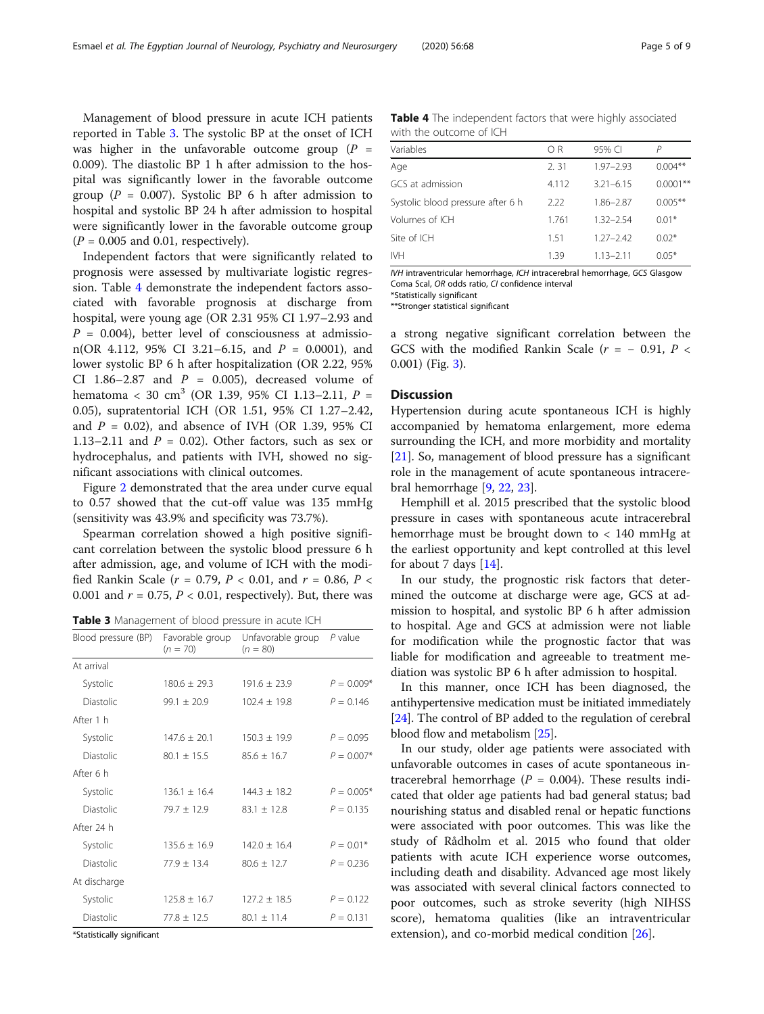Management of blood pressure in acute ICH patients reported in Table 3. The systolic BP at the onset of ICH was higher in the unfavorable outcome group  $(P =$ 0.009). The diastolic BP 1 h after admission to the hospital was significantly lower in the favorable outcome group ( $P = 0.007$ ). Systolic BP 6 h after admission to hospital and systolic BP 24 h after admission to hospital were significantly lower in the favorable outcome group  $(P = 0.005$  and 0.01, respectively).

Independent factors that were significantly related to prognosis were assessed by multivariate logistic regression. Table 4 demonstrate the independent factors associated with favorable prognosis at discharge from hospital, were young age (OR 2.31 95% CI 1.97–2.93 and  $P = 0.004$ , better level of consciousness at admission(OR 4.112, 95% CI 3.21-6.15, and  $P = 0.0001$ ), and lower systolic BP 6 h after hospitalization (OR 2.22, 95% CI 1.86-2.87 and  $P = 0.005$ ), decreased volume of hematoma < 30 cm<sup>3</sup> (OR 1.39, 95% CI 1.13–2.11,  $P =$ 0.05), supratentorial ICH (OR 1.51, 95% CI 1.27–2.42, and  $P = 0.02$ ), and absence of IVH (OR 1.39, 95% CI 1.13–2.11 and  $P = 0.02$ ). Other factors, such as sex or hydrocephalus, and patients with IVH, showed no significant associations with clinical outcomes.

Figure [2](#page-5-0) demonstrated that the area under curve equal to 0.57 showed that the cut-off value was 135 mmHg (sensitivity was 43.9% and specificity was 73.7%).

Spearman correlation showed a high positive significant correlation between the systolic blood pressure 6 h after admission, age, and volume of ICH with the modified Rankin Scale ( $r = 0.79$ ,  $P < 0.01$ , and  $r = 0.86$ ,  $P <$ 0.001 and  $r = 0.75$ ,  $P < 0.01$ , respectively). But, there was

Table 3 Management of blood pressure in acute ICH

| Blood pressure (BP) | Favorable group<br>$(n = 70)$ | Unfavorable group $P$ value<br>$(n = 80)$ |              |
|---------------------|-------------------------------|-------------------------------------------|--------------|
| At arrival          |                               |                                           |              |
| Systolic            | $180.6 + 29.3$                | $191.6 + 23.9$                            | $P = 0.009*$ |
| <b>Diastolic</b>    | $99.1 \pm 20.9$               | $102.4 + 19.8$                            | $P = 0.146$  |
| After 1 h           |                               |                                           |              |
| Systolic            | $147.6 + 20.1$                | $150.3 + 19.9$                            | $P = 0.095$  |
| <b>Diastolic</b>    | $80.1 + 15.5$                 | $85.6 + 16.7$                             | $P = 0.007*$ |
| After 6 h           |                               |                                           |              |
| Systolic            | $136.1 + 16.4$                | $144.3 + 18.2$                            | $P = 0.005*$ |
| <b>Diastolic</b>    | $79.7 + 12.9$                 | $83.1 + 12.8$                             | $P = 0.135$  |
| After 24 h          |                               |                                           |              |
| Systolic            | $135.6 + 16.9$                | $142.0 + 16.4$                            | $P = 0.01*$  |
| <b>Diastolic</b>    | $77.9 + 13.4$                 | $80.6 + 12.7$                             | $P = 0.236$  |
| At discharge        |                               |                                           |              |
| Systolic            | $125.8 \pm 16.7$              | $127.2 \pm 18.5$                          | $P = 0.122$  |
| Diastolic           | $77.8 + 12.5$                 | $80.1 + 11.4$                             | $P = 0.131$  |

\*Statistically significant

Table 4 The independent factors that were highly associated with the outcome of ICH

| ΟR    | 95% CI        | Р          |
|-------|---------------|------------|
| 2.31  | $1.97 - 2.93$ | $0.004**$  |
| 4.112 | $3.21 - 6.15$ | $0.0001**$ |
| 2.22  | 1.86-2.87     | $0.005**$  |
| 1.761 | $1.32 - 2.54$ | $0.01*$    |
| 151   | $1.27 - 2.42$ | $0.02*$    |
| 1.39  | $1.13 - 2.11$ | $0.05*$    |
|       |               |            |

IVH intraventricular hemorrhage, ICH intracerebral hemorrhage, GCS Glasgow Coma Scal, OR odds ratio, CI confidence interval \*Statistically significant

\*\*Stronger statistical significant

a strong negative significant correlation between the GCS with the modified Rankin Scale ( $r = -0.91$ ,  $P <$ 0.001) (Fig. [3](#page-6-0)).

#### **Discussion**

Hypertension during acute spontaneous ICH is highly accompanied by hematoma enlargement, more edema surrounding the ICH, and more morbidity and mortality [[21\]](#page-7-0). So, management of blood pressure has a significant role in the management of acute spontaneous intracerebral hemorrhage [[9,](#page-7-0) [22](#page-7-0), [23](#page-7-0)].

Hemphill et al. 2015 prescribed that the systolic blood pressure in cases with spontaneous acute intracerebral hemorrhage must be brought down to < 140 mmHg at the earliest opportunity and kept controlled at this level for about 7 days [\[14\]](#page-7-0).

In our study, the prognostic risk factors that determined the outcome at discharge were age, GCS at admission to hospital, and systolic BP 6 h after admission to hospital. Age and GCS at admission were not liable for modification while the prognostic factor that was liable for modification and agreeable to treatment mediation was systolic BP 6 h after admission to hospital.

In this manner, once ICH has been diagnosed, the antihypertensive medication must be initiated immediately [[24](#page-7-0)]. The control of BP added to the regulation of cerebral blood flow and metabolism [\[25\]](#page-7-0).

In our study, older age patients were associated with unfavorable outcomes in cases of acute spontaneous intracerebral hemorrhage ( $P = 0.004$ ). These results indicated that older age patients had bad general status; bad nourishing status and disabled renal or hepatic functions were associated with poor outcomes. This was like the study of Rådholm et al. 2015 who found that older patients with acute ICH experience worse outcomes, including death and disability. Advanced age most likely was associated with several clinical factors connected to poor outcomes, such as stroke severity (high NIHSS score), hematoma qualities (like an intraventricular extension), and co-morbid medical condition [[26](#page-7-0)].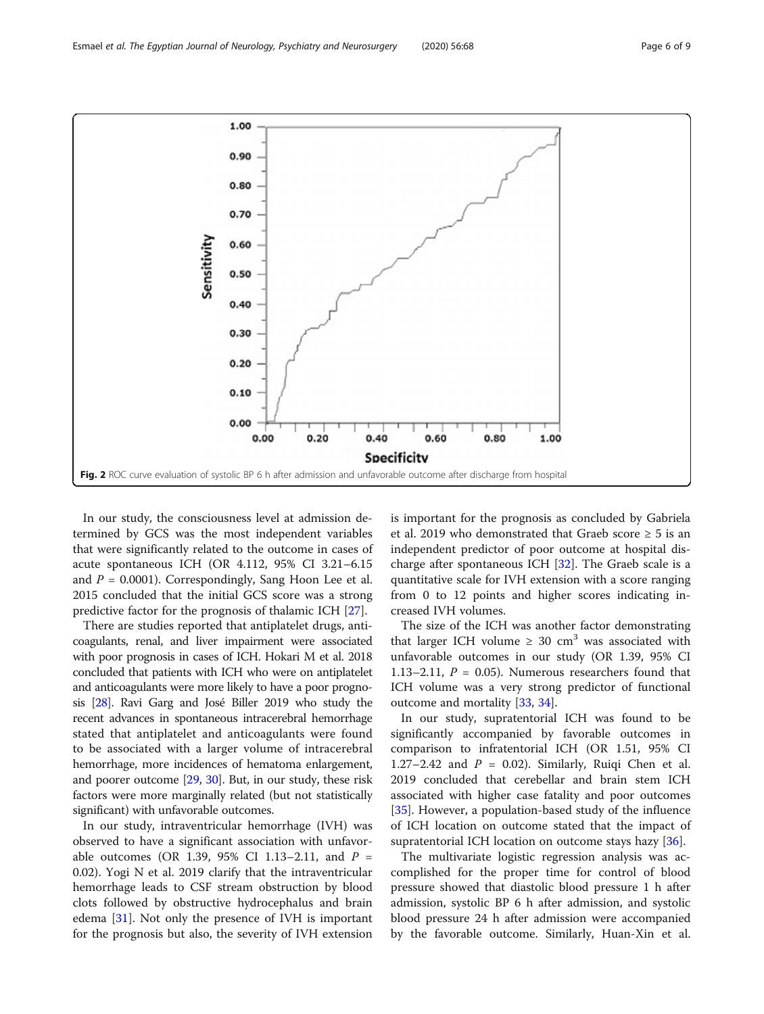In our study, the consciousness level at admission determined by GCS was the most independent variables that were significantly related to the outcome in cases of acute spontaneous ICH (OR 4.112, 95% CI 3.21–6.15 and  $P = 0.0001$ ). Correspondingly, Sang Hoon Lee et al. 2015 concluded that the initial GCS score was a strong predictive factor for the prognosis of thalamic ICH [\[27](#page-7-0)].

There are studies reported that antiplatelet drugs, anticoagulants, renal, and liver impairment were associated with poor prognosis in cases of ICH. Hokari M et al. 2018 concluded that patients with ICH who were on antiplatelet and anticoagulants were more likely to have a poor prognosis [\[28\]](#page-8-0). Ravi Garg and José Biller 2019 who study the recent advances in spontaneous intracerebral hemorrhage stated that antiplatelet and anticoagulants were found to be associated with a larger volume of intracerebral hemorrhage, more incidences of hematoma enlargement, and poorer outcome [[29](#page-8-0), [30](#page-8-0)]. But, in our study, these risk factors were more marginally related (but not statistically significant) with unfavorable outcomes.

In our study, intraventricular hemorrhage (IVH) was observed to have a significant association with unfavorable outcomes (OR 1.39, 95% CI 1.13–2.11, and  $P =$ 0.02). Yogi N et al. 2019 clarify that the intraventricular hemorrhage leads to CSF stream obstruction by blood clots followed by obstructive hydrocephalus and brain edema [\[31](#page-8-0)]. Not only the presence of IVH is important for the prognosis but also, the severity of IVH extension is important for the prognosis as concluded by Gabriela et al. 2019 who demonstrated that Graeb score  $\geq 5$  is an independent predictor of poor outcome at hospital discharge after spontaneous ICH  $[32]$  $[32]$ . The Graeb scale is a quantitative scale for IVH extension with a score ranging from 0 to 12 points and higher scores indicating increased IVH volumes.

The size of the ICH was another factor demonstrating that larger ICH volume  $\geq 30$  cm<sup>3</sup> was associated with unfavorable outcomes in our study (OR 1.39, 95% CI 1.13–2.11,  $P = 0.05$ ). Numerous researchers found that ICH volume was a very strong predictor of functional outcome and mortality [[33](#page-8-0), [34](#page-8-0)].

In our study, supratentorial ICH was found to be significantly accompanied by favorable outcomes in comparison to infratentorial ICH (OR 1.51, 95% CI 1.27–2.42 and  $P = 0.02$ ). Similarly, Ruiqi Chen et al. 2019 concluded that cerebellar and brain stem ICH associated with higher case fatality and poor outcomes [[35\]](#page-8-0). However, a population-based study of the influence of ICH location on outcome stated that the impact of supratentorial ICH location on outcome stays hazy [[36\]](#page-8-0).

The multivariate logistic regression analysis was accomplished for the proper time for control of blood pressure showed that diastolic blood pressure 1 h after admission, systolic BP 6 h after admission, and systolic blood pressure 24 h after admission were accompanied by the favorable outcome. Similarly, Huan-Xin et al.

<span id="page-5-0"></span>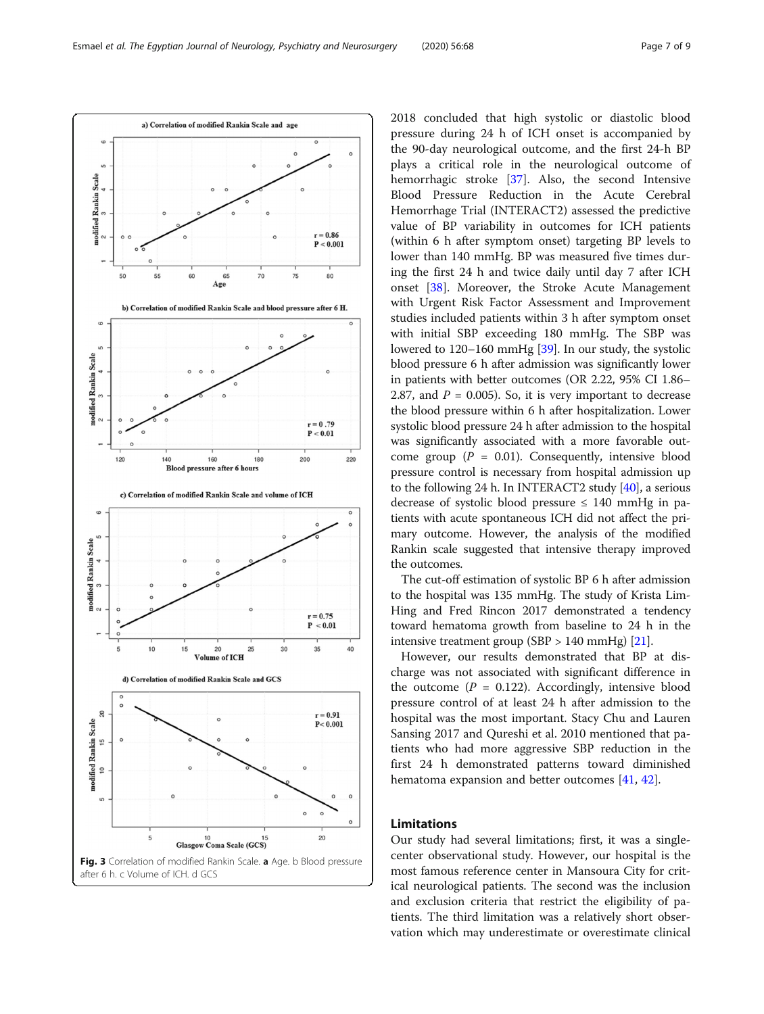<span id="page-6-0"></span>

2018 concluded that high systolic or diastolic blood pressure during 24 h of ICH onset is accompanied by the 90-day neurological outcome, and the first 24-h BP plays a critical role in the neurological outcome of hemorrhagic stroke [\[37\]](#page-8-0). Also, the second Intensive Blood Pressure Reduction in the Acute Cerebral Hemorrhage Trial (INTERACT2) assessed the predictive value of BP variability in outcomes for ICH patients (within 6 h after symptom onset) targeting BP levels to lower than 140 mmHg. BP was measured five times during the first 24 h and twice daily until day 7 after ICH onset [[38](#page-8-0)]. Moreover, the Stroke Acute Management with Urgent Risk Factor Assessment and Improvement studies included patients within 3 h after symptom onset with initial SBP exceeding 180 mmHg. The SBP was lowered to 120–160 mmHg [\[39\]](#page-8-0). In our study, the systolic blood pressure 6 h after admission was significantly lower in patients with better outcomes (OR 2.22, 95% CI 1.86– 2.87, and  $P = 0.005$ ). So, it is very important to decrease the blood pressure within 6 h after hospitalization. Lower systolic blood pressure 24 h after admission to the hospital was significantly associated with a more favorable outcome group ( $P = 0.01$ ). Consequently, intensive blood pressure control is necessary from hospital admission up to the following 24 h. In INTERACT2 study [\[40\]](#page-8-0), a serious decrease of systolic blood pressure  $\leq$  140 mmHg in patients with acute spontaneous ICH did not affect the primary outcome. However, the analysis of the modified Rankin scale suggested that intensive therapy improved the outcomes.

The cut-off estimation of systolic BP 6 h after admission to the hospital was 135 mmHg. The study of Krista Lim-Hing and Fred Rincon 2017 demonstrated a tendency toward hematoma growth from baseline to 24 h in the intensive treatment group (SBP  $> 140$  mmHg) [[21](#page-7-0)].

However, our results demonstrated that BP at discharge was not associated with significant difference in the outcome ( $P = 0.122$ ). Accordingly, intensive blood pressure control of at least 24 h after admission to the hospital was the most important. Stacy Chu and Lauren Sansing 2017 and Qureshi et al. 2010 mentioned that patients who had more aggressive SBP reduction in the first 24 h demonstrated patterns toward diminished hematoma expansion and better outcomes [\[41](#page-8-0), [42](#page-8-0)].

#### Limitations

Our study had several limitations; first, it was a singlecenter observational study. However, our hospital is the most famous reference center in Mansoura City for critical neurological patients. The second was the inclusion and exclusion criteria that restrict the eligibility of patients. The third limitation was a relatively short observation which may underestimate or overestimate clinical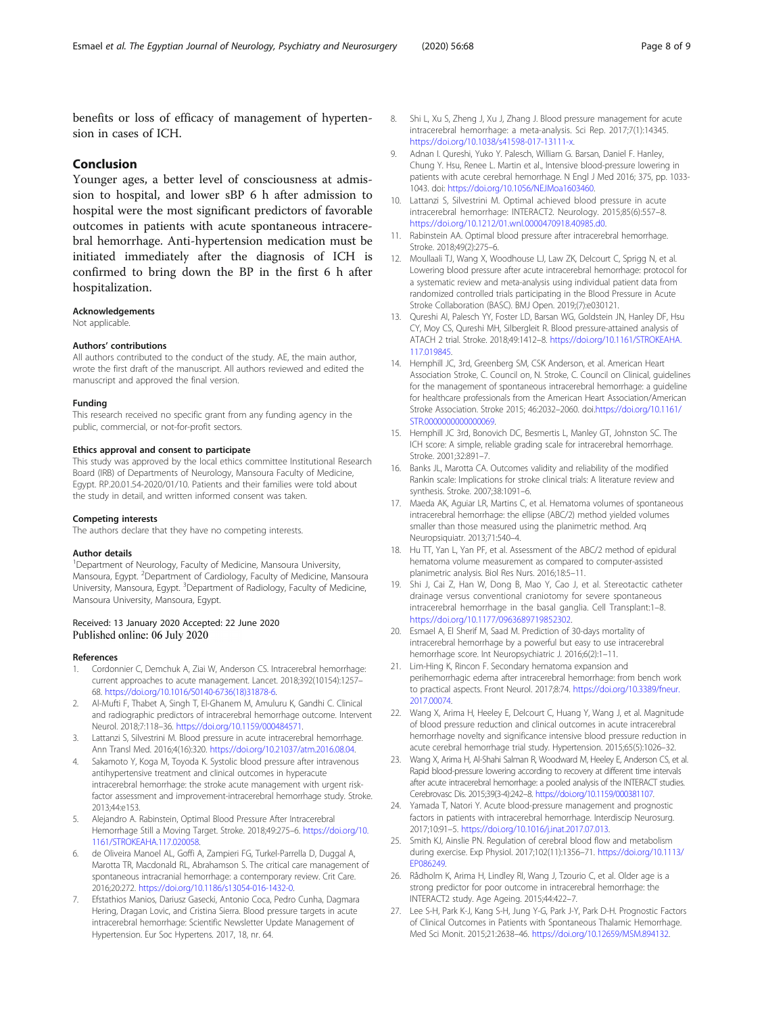<span id="page-7-0"></span>benefits or loss of efficacy of management of hypertension in cases of ICH.

#### Conclusion

Younger ages, a better level of consciousness at admission to hospital, and lower sBP 6 h after admission to hospital were the most significant predictors of favorable outcomes in patients with acute spontaneous intracerebral hemorrhage. Anti-hypertension medication must be initiated immediately after the diagnosis of ICH is confirmed to bring down the BP in the first 6 h after hospitalization.

#### Acknowledgements

Not applicable.

#### Authors' contributions

All authors contributed to the conduct of the study. AE, the main author, wrote the first draft of the manuscript. All authors reviewed and edited the manuscript and approved the final version.

#### Funding

This research received no specific grant from any funding agency in the public, commercial, or not-for-profit sectors.

#### Ethics approval and consent to participate

This study was approved by the local ethics committee Institutional Research Board (IRB) of Departments of Neurology, Mansoura Faculty of Medicine, Egypt. RP.20.01.54-2020/01/10. Patients and their families were told about the study in detail, and written informed consent was taken.

#### Competing interests

The authors declare that they have no competing interests.

#### Author details

<sup>1</sup>Department of Neurology, Faculty of Medicine, Mansoura University, Mansoura, Egypt. <sup>2</sup>Department of Cardiology, Faculty of Medicine, Mansoura University, Mansoura, Egypt. <sup>3</sup>Department of Radiology, Faculty of Medicine, Mansoura University, Mansoura, Egypt.

#### Received: 13 January 2020 Accepted: 22 June 2020 Published online: 06 July 2020

#### References

- Cordonnier C, Demchuk A, Ziai W, Anderson CS. Intracerebral hemorrhage: current approaches to acute management. Lancet. 2018;392(10154):1257– 68. [https://doi.org/10.1016/S0140-6736\(18\)31878-6.](https://doi.org/10.1016/S0140-6736(18)31878-6)
- 2. Al-Mufti F, Thabet A, Singh T, El-Ghanem M, Amuluru K, Gandhi C. Clinical and radiographic predictors of intracerebral hemorrhage outcome. Intervent Neurol. 2018;7:118–36. <https://doi.org/10.1159/000484571>.
- 3. Lattanzi S, Silvestrini M. Blood pressure in acute intracerebral hemorrhage. Ann Transl Med. 2016;4(16):320. <https://doi.org/10.21037/atm.2016.08.04>.
- 4. Sakamoto Y, Koga M, Toyoda K. Systolic blood pressure after intravenous antihypertensive treatment and clinical outcomes in hyperacute intracerebral hemorrhage: the stroke acute management with urgent riskfactor assessment and improvement-intracerebral hemorrhage study. Stroke. 2013;44:e153.
- 5. Alejandro A. Rabinstein, Optimal Blood Pressure After Intracerebral Hemorrhage Still a Moving Target. Stroke. 2018;49:275–6. [https://doi.org/10.](https://doi.org/10.1161/STROKEAHA.117.020058) [1161/STROKEAHA.117.020058](https://doi.org/10.1161/STROKEAHA.117.020058).
- 6. de Oliveira Manoel AL, Goffi A, Zampieri FG, Turkel-Parrella D, Duggal A, Marotta TR, Macdonald RL, Abrahamson S. The critical care management of spontaneous intracranial hemorrhage: a contemporary review. Crit Care. 2016;20:272. [https://doi.org/10.1186/s13054-016-1432-0.](https://doi.org/10.1186/s13054-016-1432-0)
- 7. Efstathios Manios, Dariusz Gasecki, Antonio Coca, Pedro Cunha, Dagmara Hering, Dragan Lovic, and Cristina Sierra. Blood pressure targets in acute intracerebral hemorrhage: Scientific Newsletter Update Management of Hypertension. Eur Soc Hypertens. 2017, 18, nr. 64.
- 8. Shi L, Xu S, Zheng J, Xu J, Zhang J. Blood pressure management for acute intracerebral hemorrhage: a meta-analysis. Sci Rep. 2017;7(1):14345. [https://doi.org/10.1038/s41598-017-13111-x.](https://doi.org/10.1038/s41598-017-13111-x)
- 9. Adnan I. Qureshi, Yuko Y. Palesch, William G. Barsan, Daniel F. Hanley, Chung Y. Hsu, Renee L. Martin et al., Intensive blood-pressure lowering in patients with acute cerebral hemorrhage. N Engl J Med 2016; 375, pp. 1033- 1043. doi: [https://doi.org/10.1056/NEJMoa1603460.](https://doi.org/10.1056/NEJMoa1603460)
- 10. Lattanzi S, Silvestrini M. Optimal achieved blood pressure in acute intracerebral hemorrhage: INTERACT2. Neurology. 2015;85(6):557–8. [https://doi.org/10.1212/01.wnl.0000470918.40985.d0.](https://doi.org/10.1212/01.wnl.0000470918.40985.d0)
- 11. Rabinstein AA. Optimal blood pressure after intracerebral hemorrhage. Stroke. 2018;49(2):275–6.
- 12. Moullaali TJ, Wang X, Woodhouse LJ, Law ZK, Delcourt C, Sprigg N, et al. Lowering blood pressure after acute intracerebral hemorrhage: protocol for a systematic review and meta-analysis using individual patient data from randomized controlled trials participating in the Blood Pressure in Acute Stroke Collaboration (BASC). BMJ Open. 2019;(7):e030121.
- 13. Qureshi AI, Palesch YY, Foster LD, Barsan WG, Goldstein JN, Hanley DF, Hsu CY, Moy CS, Qureshi MH, Silbergleit R. Blood pressure-attained analysis of ATACH 2 trial. Stroke. 2018;49:1412–8. [https://doi.org/10.1161/STROKEAHA.](https://doi.org/10.1161/STROKEAHA.117.019845) [117.019845.](https://doi.org/10.1161/STROKEAHA.117.019845)
- 14. Hemphill JC, 3rd, Greenberg SM, CSK Anderson, et al. American Heart Association Stroke, C. Council on, N. Stroke, C. Council on Clinical, guidelines for the management of spontaneous intracerebral hemorrhage: a guideline for healthcare professionals from the American Heart Association/American Stroke Association. Stroke 2015; 46:2032–2060. doi[.https://doi.org/10.1161/](https://doi.org/10.1161/STR.0000000000000069) [STR.0000000000000069.](https://doi.org/10.1161/STR.0000000000000069)
- 15. Hemphill JC 3rd, Bonovich DC, Besmertis L, Manley GT, Johnston SC. The ICH score: A simple, reliable grading scale for intracerebral hemorrhage. Stroke. 2001;32:891–7.
- 16. Banks JL, Marotta CA. Outcomes validity and reliability of the modified Rankin scale: Implications for stroke clinical trials: A literature review and synthesis. Stroke. 2007;38:1091–6.
- 17. Maeda AK, Aguiar LR, Martins C, et al. Hematoma volumes of spontaneous intracerebral hemorrhage: the ellipse (ABC/2) method yielded volumes smaller than those measured using the planimetric method. Arq Neuropsiquiatr. 2013;71:540–4.
- 18. Hu TT, Yan L, Yan PF, et al. Assessment of the ABC/2 method of epidural hematoma volume measurement as compared to computer-assisted planimetric analysis. Biol Res Nurs. 2016;18:5–11.
- 19. Shi J, Cai Z, Han W, Dong B, Mao Y, Cao J, et al. Stereotactic catheter drainage versus conventional craniotomy for severe spontaneous intracerebral hemorrhage in the basal ganglia. Cell Transplant:1–8. <https://doi.org/10.1177/0963689719852302>.
- 20. Esmael A, El Sherif M, Saad M. Prediction of 30-days mortality of intracerebral hemorrhage by a powerful but easy to use intracerebral hemorrhage score. Int Neuropsychiatric J. 2016;6(2):1–11.
- 21. Lim-Hing K, Rincon F. Secondary hematoma expansion and perihemorrhagic edema after intracerebral hemorrhage: from bench work to practical aspects. Front Neurol. 2017;8:74. [https://doi.org/10.3389/fneur.](https://doi.org/10.3389/fneur.2017.00074) [2017.00074.](https://doi.org/10.3389/fneur.2017.00074)
- 22. Wang X, Arima H, Heeley E, Delcourt C, Huang Y, Wang J, et al. Magnitude of blood pressure reduction and clinical outcomes in acute intracerebral hemorrhage novelty and significance intensive blood pressure reduction in acute cerebral hemorrhage trial study. Hypertension. 2015;65(5):1026–32.
- 23. Wang X, Arima H, Al-Shahi Salman R, Woodward M, Heeley E, Anderson CS, et al. Rapid blood-pressure lowering according to recovery at different time intervals after acute intracerebral hemorrhage: a pooled analysis of the INTERACT studies. Cerebrovasc Dis. 2015;39(3-4):242–8. <https://doi.org/10.1159/000381107>.
- 24. Yamada T, Natori Y. Acute blood-pressure management and prognostic factors in patients with intracerebral hemorrhage. Interdiscip Neurosurg. 2017;10:91–5. <https://doi.org/10.1016/j.inat.2017.07.013>.
- 25. Smith KJ, Ainslie PN. Regulation of cerebral blood flow and metabolism during exercise. Exp Physiol. 2017;102(11):1356–71. [https://doi.org/10.1113/](https://doi.org/10.1113/EP086249) [EP086249](https://doi.org/10.1113/EP086249).
- 26. Rådholm K, Arima H, Lindley RI, Wang J, Tzourio C, et al. Older age is a strong predictor for poor outcome in intracerebral hemorrhage: the INTERACT2 study. Age Ageing. 2015;44:422–7.
- 27. Lee S-H, Park K-J, Kang S-H, Jung Y-G, Park J-Y, Park D-H. Prognostic Factors of Clinical Outcomes in Patients with Spontaneous Thalamic Hemorrhage. Med Sci Monit. 2015;21:2638–46. <https://doi.org/10.12659/MSM.894132>.